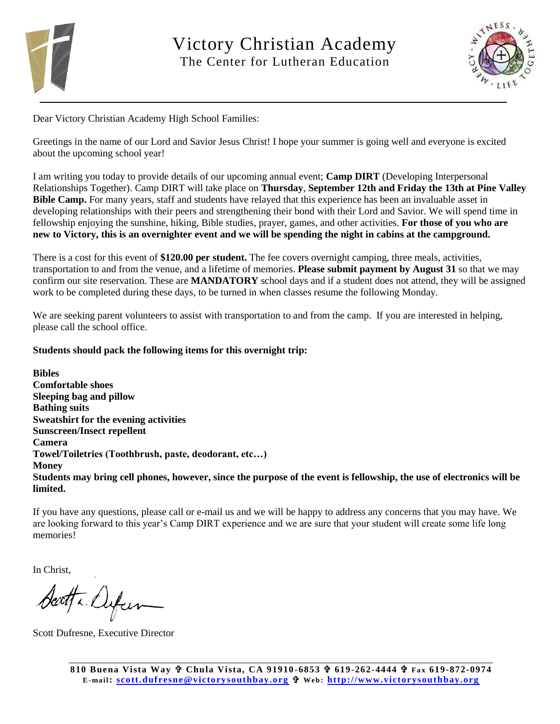

Victory Christian Academy The Center for Lutheran Education



Dear Victory Christian Academy High School Families:

Greetings in the name of our Lord and Savior Jesus Christ! I hope your summer is going well and everyone is excited about the upcoming school year!

I am writing you today to provide details of our upcoming annual event; **Camp DIRT** (Developing Interpersonal Relationships Together). Camp DIRT will take place on **Thursday**, **September 12th and Friday the 13th at Pine Valley Bible Camp.** For many years, staff and students have relayed that this experience has been an invaluable asset in developing relationships with their peers and strengthening their bond with their Lord and Savior. We will spend time in fellowship enjoying the sunshine, hiking, Bible studies, prayer, games, and other activities. **For those of you who are new to Victory, this is an overnighter event and we will be spending the night in cabins at the campground.** 

There is a cost for this event of **\$120.00 per student.** The fee covers overnight camping, three meals, activities, transportation to and from the venue, and a lifetime of memories. **Please submit payment by August 31** so that we may confirm our site reservation. These are **MANDATORY** school days and if a student does not attend, they will be assigned work to be completed during these days, to be turned in when classes resume the following Monday.

We are seeking parent volunteers to assist with transportation to and from the camp. If you are interested in helping, please call the school office.

## **Students should pack the following items for this overnight trip:**

**Bibles Comfortable shoes Sleeping bag and pillow Bathing suits Sweatshirt for the evening activities Sunscreen/Insect repellent Camera Towel/Toiletries (Toothbrush, paste, deodorant, etc…) Money Students may bring cell phones, however, since the purpose of the event is fellowship, the use of electronics will be limited.**

If you have any questions, please call or e-mail us and we will be happy to address any concerns that you may have. We are looking forward to this year's Camp DIRT experience and we are sure that your student will create some life long memories!

In Christ,

Seatta Dyfun

Scott Dufresne, Executive Director